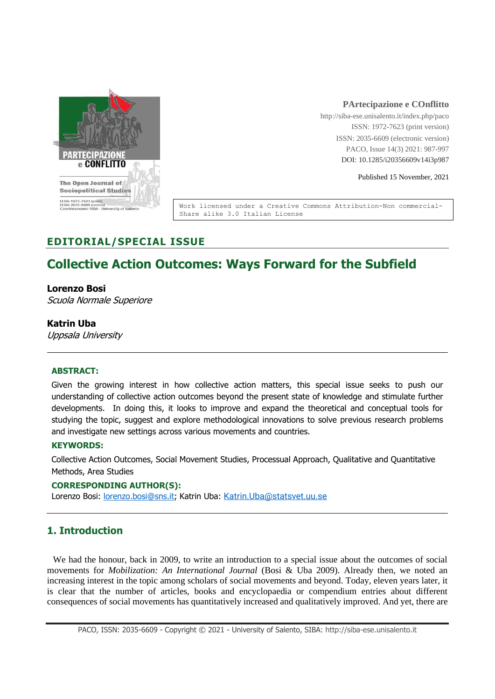

### **PArtecipazione e COnflitto**

http://siba-ese.unisalento.it/index.php/paco ISSN: 1972-7623 (print version) ISSN: 2035-6609 (electronic version) PACO, Issue 14(3) 2021: 987-997 DOI: 10.1285/i20356609v14i3p987

Published 15 November, 2021

Work licensed under a Creative Commons Attribution-Non commercial-Share alike 3.0 Italian License

# **EDITORIAL/SPECIAL ISSUE**

# **Collective Action Outcomes: Ways Forward for the Subfield**

### **Lorenzo Bosi**

Scuola Normale Superiore

### **Katrin Uba**

Uppsala University

### **ABSTRACT:**

Given the growing interest in how collective action matters, this special issue seeks to push our understanding of collective action outcomes beyond the present state of knowledge and stimulate further developments. In doing this, it looks to improve and expand the theoretical and conceptual tools for studying the topic, suggest and explore methodological innovations to solve previous research problems and investigate new settings across various movements and countries.

### **KEYWORDS:**

Collective Action Outcomes, Social Movement Studies, Processual Approach, Qualitative and Quantitative Methods, Area Studies

### **CORRESPONDING AUTHOR(S):**

Lorenzo Bosi: [lorenzo.bosi@sns.it;](mailto:lorenzo.bosi@sns.it) Katrin Uba: [Katrin.Uba@statsvet.uu.se](mailto:Katrin.Uba@statsvet.uu.se)

## **1. Introduction**

We had the honour, back in 2009, to write an introduction to a special issue about the outcomes of social movements for *Mobilization: An International Journal* (Bosi & Uba 2009). Already then, we noted an increasing interest in the topic among scholars of social movements and beyond. Today, eleven years later, it is clear that the number of articles, books and encyclopaedia or compendium entries about different consequences of social movements has quantitatively increased and qualitatively improved. And yet, there are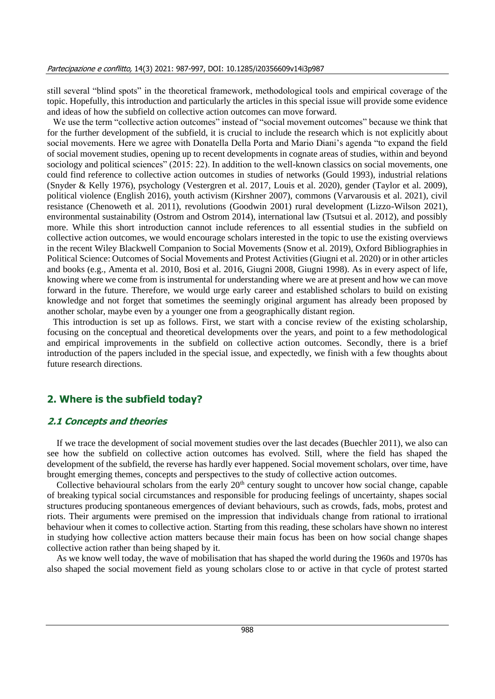still several "blind spots" in the theoretical framework, methodological tools and empirical coverage of the topic. Hopefully, this introduction and particularly the articles in this special issue will provide some evidence and ideas of how the subfield on collective action outcomes can move forward.

We use the term "collective action outcomes" instead of "social movement outcomes" because we think that for the further development of the subfield, it is crucial to include the research which is not explicitly about social movements. Here we agree with Donatella Della Porta and Mario Diani's agenda "to expand the field of social movement studies, opening up to recent developments in cognate areas of studies, within and beyond sociology and political sciences" (2015: 22). In addition to the well-known classics on social movements, one could find reference to collective action outcomes in studies of networks (Gould 1993), industrial relations (Snyder & Kelly 1976), psychology (Vestergren et al. 2017, Louis et al. 2020), gender (Taylor et al. 2009), political violence (English 2016), youth activism (Kirshner 2007), commons (Varvarousis et al. 2021), civil resistance (Chenoweth et al. 2011), revolutions (Goodwin 2001) rural development (Lizzo-Wilson 2021), environmental sustainability (Ostrom and Ostrom 2014), international law (Tsutsui et al. 2012), and possibly more. While this short introduction cannot include references to all essential studies in the subfield on collective action outcomes, we would encourage scholars interested in the topic to use the existing overviews in the recent Wiley Blackwell Companion to Social Movements (Snow et al. 2019), Oxford Bibliographies in Political Science: Outcomes of Social Movements and Protest Activities (Giugni et al. 2020) or in other articles and books (e.g., Amenta et al. 2010, Bosi et al. 2016, Giugni 2008, Giugni 1998). As in every aspect of life, knowing where we come from is instrumental for understanding where we are at present and how we can move forward in the future. Therefore, we would urge early career and established scholars to build on existing knowledge and not forget that sometimes the seemingly original argument has already been proposed by another scholar, maybe even by a younger one from a geographically distant region.

This introduction is set up as follows. First, we start with a concise review of the existing scholarship, focusing on the conceptual and theoretical developments over the years, and point to a few methodological and empirical improvements in the subfield on collective action outcomes. Secondly, there is a brief introduction of the papers included in the special issue, and expectedly, we finish with a few thoughts about future research directions.

### **2. Where is the subfield today?**

### **2.1 Concepts and theories**

If we trace the development of social movement studies over the last decades (Buechler 2011), we also can see how the subfield on collective action outcomes has evolved. Still, where the field has shaped the development of the subfield, the reverse has hardly ever happened. Social movement scholars, over time, have brought emerging themes, concepts and perspectives to the study of collective action outcomes.

Collective behavioural scholars from the early  $20<sup>th</sup>$  century sought to uncover how social change, capable of breaking typical social circumstances and responsible for producing feelings of uncertainty, shapes social structures producing spontaneous emergences of deviant behaviours, such as crowds, fads, mobs, protest and riots. Their arguments were premised on the impression that individuals change from rational to irrational behaviour when it comes to collective action. Starting from this reading, these scholars have shown no interest in studying how collective action matters because their main focus has been on how social change shapes collective action rather than being shaped by it.

As we know well today, the wave of mobilisation that has shaped the world during the 1960s and 1970s has also shaped the social movement field as young scholars close to or active in that cycle of protest started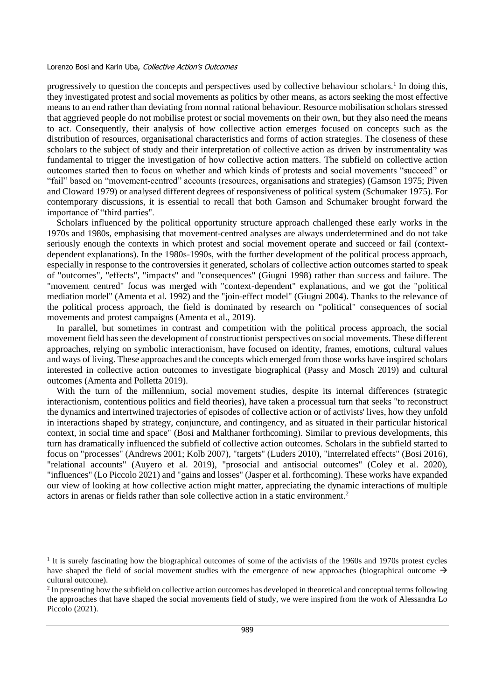#### Lorenzo Bosi and Karin Uba, Collective Action's Outcomes

progressively to question the concepts and perspectives used by collective behaviour scholars.<sup>1</sup> In doing this, they investigated protest and social movements as politics by other means, as actors seeking the most effective means to an end rather than deviating from normal rational behaviour. Resource mobilisation scholars stressed that aggrieved people do not mobilise protest or social movements on their own, but they also need the means to act. Consequently, their analysis of how collective action emerges focused on concepts such as the distribution of resources, organisational characteristics and forms of action strategies. The closeness of these scholars to the subject of study and their interpretation of collective action as driven by instrumentality was fundamental to trigger the investigation of how collective action matters. The subfield on collective action outcomes started then to focus on whether and which kinds of protests and social movements "succeed" or "fail" based on "movement-centred" accounts (resources, organisations and strategies) (Gamson 1975; Piven and Cloward 1979) or analysed different degrees of responsiveness of political system (Schumaker 1975). For contemporary discussions, it is essential to recall that both Gamson and Schumaker brought forward the importance of "third parties".

Scholars influenced by the political opportunity structure approach challenged these early works in the 1970s and 1980s, emphasising that movement-centred analyses are always underdetermined and do not take seriously enough the contexts in which protest and social movement operate and succeed or fail (contextdependent explanations). In the 1980s-1990s, with the further development of the political process approach, especially in response to the controversies it generated, scholars of collective action outcomes started to speak of "outcomes", "effects", "impacts" and "consequences" (Giugni 1998) rather than success and failure. The "movement centred" focus was merged with "context-dependent" explanations, and we got the "political mediation model" (Amenta et al. 1992) and the "join-effect model" (Giugni 2004). Thanks to the relevance of the political process approach, the field is dominated by research on "political" consequences of social movements and protest campaigns (Amenta et al., 2019).

In parallel, but sometimes in contrast and competition with the political process approach, the social movement field has seen the development of constructionist perspectives on social movements. These different approaches, relying on symbolic interactionism, have focused on identity, frames, emotions, cultural values and ways of living. These approaches and the concepts which emerged from those works have inspired scholars interested in collective action outcomes to investigate biographical (Passy and Mosch 2019) and cultural outcomes (Amenta and Polletta 2019).

With the turn of the millennium, social movement studies, despite its internal differences (strategic interactionism, contentious politics and field theories), have taken a processual turn that seeks "to reconstruct the dynamics and intertwined trajectories of episodes of collective action or of activists' lives, how they unfold in interactions shaped by strategy, conjuncture, and contingency, and as situated in their particular historical context, in social time and space" (Bosi and Malthaner forthcoming). Similar to previous developments, this turn has dramatically influenced the subfield of collective action outcomes. Scholars in the subfield started to focus on "processes" (Andrews 2001; Kolb 2007), "targets" (Luders 2010), "interrelated effects" (Bosi 2016), "relational accounts" (Auyero et al. 2019), "prosocial and antisocial outcomes" (Coley et al. 2020), "influences" (Lo Piccolo 2021) and "gains and losses" (Jasper et al. forthcoming). These works have expanded our view of looking at how collective action might matter, appreciating the dynamic interactions of multiple actors in arenas or fields rather than sole collective action in a static environment.<sup>2</sup>

<sup>&</sup>lt;sup>1</sup> It is surely fascinating how the biographical outcomes of some of the activists of the 1960s and 1970s protest cycles have shaped the field of social movement studies with the emergence of new approaches (biographical outcome  $\rightarrow$ cultural outcome).

<sup>&</sup>lt;sup>2</sup> In presenting how the subfield on collective action outcomes has developed in theoretical and conceptual terms following the approaches that have shaped the social movements field of study, we were inspired from the work of Alessandra Lo Piccolo (2021).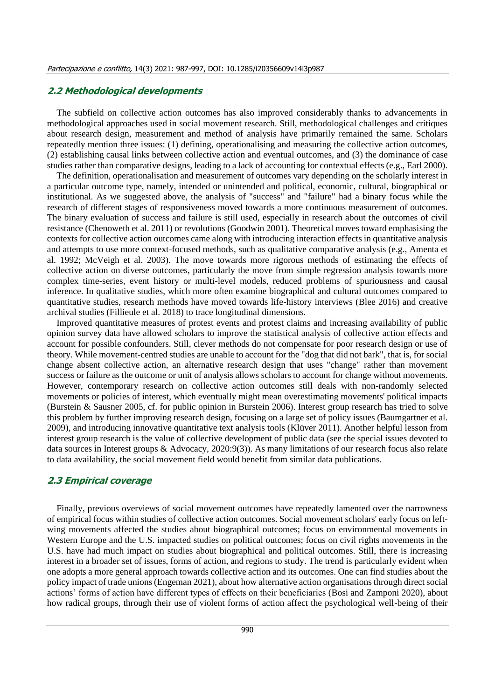### **2.2 Methodological developments**

The subfield on collective action outcomes has also improved considerably thanks to advancements in methodological approaches used in social movement research. Still, methodological challenges and critiques about research design, measurement and method of analysis have primarily remained the same. Scholars repeatedly mention three issues: (1) defining, operationalising and measuring the collective action outcomes, (2) establishing causal links between collective action and eventual outcomes, and (3) the dominance of case studies rather than comparative designs, leading to a lack of accounting for contextual effects (e.g., Earl 2000).

The definition, operationalisation and measurement of outcomes vary depending on the scholarly interest in a particular outcome type, namely, intended or unintended and political, economic, cultural, biographical or institutional. As we suggested above, the analysis of "success" and "failure" had a binary focus while the research of different stages of responsiveness moved towards a more continuous measurement of outcomes. The binary evaluation of success and failure is still used, especially in research about the outcomes of civil resistance (Chenoweth et al. 2011) or revolutions (Goodwin 2001). Theoretical moves toward emphasising the contexts for collective action outcomes came along with introducing interaction effects in quantitative analysis and attempts to use more context-focused methods, such as qualitative comparative analysis (e.g., Amenta et al. 1992; McVeigh et al. 2003). The move towards more rigorous methods of estimating the effects of collective action on diverse outcomes, particularly the move from simple regression analysis towards more complex time-series, event history or multi-level models, reduced problems of spuriousness and causal inference. In qualitative studies, which more often examine biographical and cultural outcomes compared to quantitative studies, research methods have moved towards life-history interviews (Blee 2016) and creative archival studies (Fillieule et al. 2018) to trace longitudinal dimensions.

Improved quantitative measures of protest events and protest claims and increasing availability of public opinion survey data have allowed scholars to improve the statistical analysis of collective action effects and account for possible confounders. Still, clever methods do not compensate for poor research design or use of theory. While movement-centred studies are unable to account for the "dog that did not bark", that is, for social change absent collective action, an alternative research design that uses "change" rather than movement success or failure as the outcome or unit of analysis allows scholars to account for change without movements. However, contemporary research on collective action outcomes still deals with non-randomly selected movements or policies of interest, which eventually might mean overestimating movements' political impacts (Burstein & Sausner 2005, cf. for public opinion in Burstein 2006). Interest group research has tried to solve this problem by further improving research design, focusing on a large set of policy issues (Baumgartner et al. 2009), and introducing innovative quantitative text analysis tools (Klüver 2011). Another helpful lesson from interest group research is the value of collective development of public data (see the special issues devoted to data sources in Interest groups & Advocacy, 2020:9(3)). As many limitations of our research focus also relate to data availability, the social movement field would benefit from similar data publications.

### **2.3 Empirical coverage**

Finally, previous overviews of social movement outcomes have repeatedly lamented over the narrowness of empirical focus within studies of collective action outcomes. Social movement scholars' early focus on leftwing movements affected the studies about biographical outcomes; focus on environmental movements in Western Europe and the U.S. impacted studies on political outcomes; focus on civil rights movements in the U.S. have had much impact on studies about biographical and political outcomes. Still, there is increasing interest in a broader set of issues, forms of action, and regions to study. The trend is particularly evident when one adopts a more general approach towards collective action and its outcomes. One can find studies about the policy impact of trade unions (Engeman 2021), about how alternative action organisations through direct social actions' forms of action have different types of effects on their beneficiaries (Bosi and Zamponi 2020), about how radical groups, through their use of violent forms of action affect the psychological well-being of their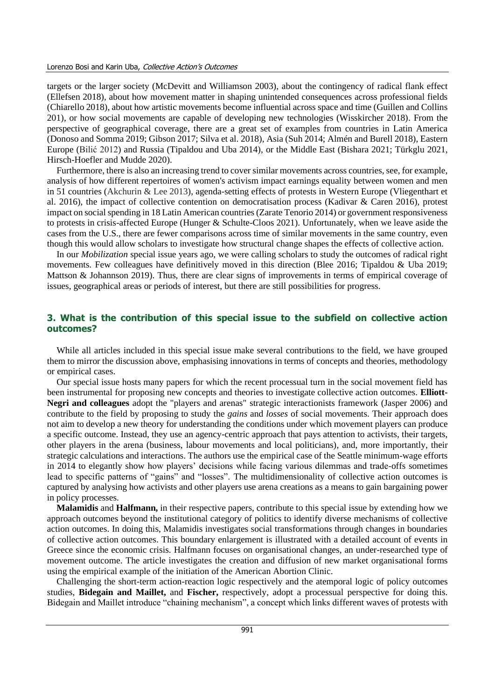#### Lorenzo Bosi and Karin Uba, Collective Action's Outcomes

targets or the larger society (McDevitt and Williamson 2003), about the contingency of radical flank effect (Ellefsen 2018), about how movement matter in shaping unintended consequences across professional fields (Chiarello 2018), about how artistic movements become influential across space and time (Guillen and Collins 201), or how social movements are capable of developing new technologies (Wisskircher 2018). From the perspective of geographical coverage, there are a great set of examples from countries in Latin America (Donoso and Somma 2019; Gibson 2017; Silva et al. 2018), Asia (Suh 2014; Almén and Burell 2018), Eastern Europe (Bilić 2012) and Russia (Tipaldou and Uba 2014), or the Middle East (Bishara 2021; Türkglu 2021, Hirsch-Hoefler and Mudde 2020).

Furthermore, there is also an increasing trend to cover similar movements across countries, see, for example, analysis of how different repertoires of women's activism impact earnings equality between women and men in 51 countries (Akchurin & Lee 2013), agenda-setting effects of protests in Western Europe (Vliegenthart et al. 2016), the impact of collective contention on democratisation process (Kadivar & Caren 2016), protest impact on social spending in 18 Latin American countries (Zarate Tenorio 2014) or government responsiveness to protests in crisis-affected Europe (Hunger & Schulte-Cloos 2021). Unfortunately, when we leave aside the cases from the U.S., there are fewer comparisons across time of similar movements in the same country, even though this would allow scholars to investigate how structural change shapes the effects of collective action.

In our *Mobilization* special issue years ago, we were calling scholars to study the outcomes of radical right movements. Few colleagues have definitively moved in this direction (Blee 2016; Tipaldou & Uba 2019; Mattson & Johannson 2019). Thus, there are clear signs of improvements in terms of empirical coverage of issues, geographical areas or periods of interest, but there are still possibilities for progress.

### **3. What is the contribution of this special issue to the subfield on collective action outcomes?**

While all articles included in this special issue make several contributions to the field, we have grouped them to mirror the discussion above, emphasising innovations in terms of concepts and theories, methodology or empirical cases.

Our special issue hosts many papers for which the recent processual turn in the social movement field has been instrumental for proposing new concepts and theories to investigate collective action outcomes. **Elliott-Negri and colleagues** adopt the "players and arenas" strategic interactionists framework (Jasper 2006) and contribute to the field by proposing to study the *gains* and *losses* of social movements. Their approach does not aim to develop a new theory for understanding the conditions under which movement players can produce a specific outcome. Instead, they use an agency-centric approach that pays attention to activists, their targets, other players in the arena (business, labour movements and local politicians), and, more importantly, their strategic calculations and interactions. The authors use the empirical case of the Seattle minimum-wage efforts in 2014 to elegantly show how players' decisions while facing various dilemmas and trade-offs sometimes lead to specific patterns of "gains" and "losses". The multidimensionality of collective action outcomes is captured by analysing how activists and other players use arena creations as a means to gain bargaining power in policy processes.

**Malamidis** and **Halfmann,** in their respective papers, contribute to this special issue by extending how we approach outcomes beyond the institutional category of politics to identify diverse mechanisms of collective action outcomes. In doing this, Malamidis investigates social transformations through changes in boundaries of collective action outcomes. This boundary enlargement is illustrated with a detailed account of events in Greece since the economic crisis. Halfmann focuses on organisational changes, an under-researched type of movement outcome. The article investigates the creation and diffusion of new market organisational forms using the empirical example of the initiation of the American Abortion Clinic.

Challenging the short-term action-reaction logic respectively and the atemporal logic of policy outcomes studies, **Bidegain and Maillet,** and **Fischer,** respectively, adopt a processual perspective for doing this. Bidegain and Maillet introduce "chaining mechanism", a concept which links different waves of protests with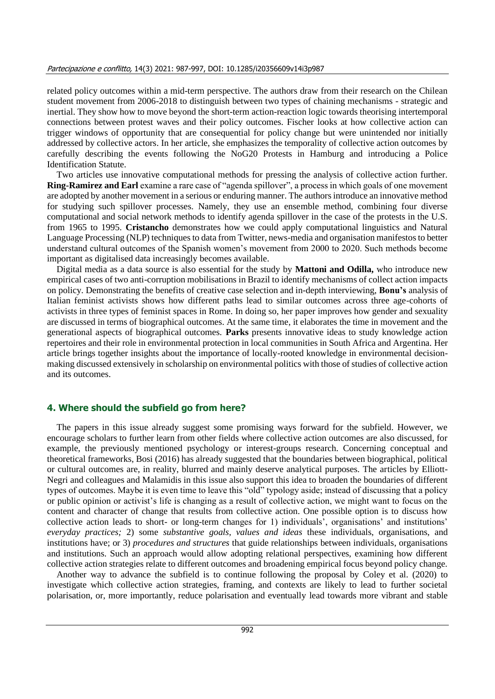related policy outcomes within a mid-term perspective. The authors draw from their research on the Chilean student movement from 2006-2018 to distinguish between two types of chaining mechanisms - strategic and inertial. They show how to move beyond the short-term action-reaction logic towards theorising intertemporal connections between protest waves and their policy outcomes. Fischer looks at how collective action can trigger windows of opportunity that are consequential for policy change but were unintended nor initially addressed by collective actors. In her article, she emphasizes the temporality of collective action outcomes by carefully describing the events following the NoG20 Protests in Hamburg and introducing a Police Identification Statute.

Two articles use innovative computational methods for pressing the analysis of collective action further. **Ring-Ramirez and Earl** examine a rare case of "agenda spillover", a process in which goals of one movement are adopted by another movement in a serious or enduring manner. The authors introduce an innovative method for studying such spillover processes. Namely, they use an ensemble method, combining four diverse computational and social network methods to identify agenda spillover in the case of the protests in the U.S. from 1965 to 1995. **Cristancho** demonstrates how we could apply computational linguistics and Natural Language Processing (NLP) techniques to data from Twitter, news-media and organisation manifestos to better understand cultural outcomes of the Spanish women's movement from 2000 to 2020. Such methods become important as digitalised data increasingly becomes available.

Digital media as a data source is also essential for the study by **Mattoni and Odilla,** who introduce new empirical cases of two anti-corruption mobilisations in Brazil to identify mechanisms of collect action impacts on policy. Demonstrating the benefits of creative case selection and in-depth interviewing, **Bonu's** analysis of Italian feminist activists shows how different paths lead to similar outcomes across three age-cohorts of activists in three types of feminist spaces in Rome. In doing so, her paper improves how gender and sexuality are discussed in terms of biographical outcomes. At the same time, it elaborates the time in movement and the generational aspects of biographical outcomes. **Parks** presents innovative ideas to study knowledge action repertoires and their role in environmental protection in local communities in South Africa and Argentina. Her article brings together insights about the importance of locally-rooted knowledge in environmental decisionmaking discussed extensively in scholarship on environmental politics with those of studies of collective action and its outcomes.

### **4. Where should the subfield go from here?**

The papers in this issue already suggest some promising ways forward for the subfield. However, we encourage scholars to further learn from other fields where collective action outcomes are also discussed, for example, the previously mentioned psychology or interest-groups research. Concerning conceptual and theoretical frameworks, Bosi (2016) has already suggested that the boundaries between biographical, political or cultural outcomes are, in reality, blurred and mainly deserve analytical purposes. The articles by Elliott-Negri and colleagues and Malamidis in this issue also support this idea to broaden the boundaries of different types of outcomes. Maybe it is even time to leave this "old" typology aside; instead of discussing that a policy or public opinion or activist's life is changing as a result of collective action, we might want to focus on the content and character of change that results from collective action. One possible option is to discuss how collective action leads to short- or long-term changes for 1) individuals', organisations' and institutions' *everyday practices;* 2) some *substantive goals, values and ideas* these individuals, organisations, and institutions have; or 3) *procedures and structures* that guide relationships between individuals, organisations and institutions. Such an approach would allow adopting relational perspectives, examining how different collective action strategies relate to different outcomes and broadening empirical focus beyond policy change.

Another way to advance the subfield is to continue following the proposal by Coley et al. (2020) to investigate which collective action strategies, framing, and contexts are likely to lead to further societal polarisation, or, more importantly, reduce polarisation and eventually lead towards more vibrant and stable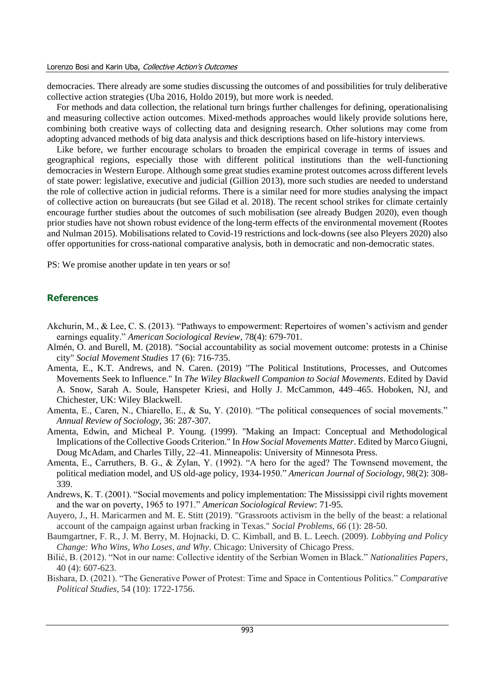democracies. There already are some studies discussing the outcomes of and possibilities for truly deliberative collective action strategies (Uba 2016, Holdo 2019), but more work is needed.

For methods and data collection, the relational turn brings further challenges for defining, operationalising and measuring collective action outcomes. Mixed-methods approaches would likely provide solutions here, combining both creative ways of collecting data and designing research. Other solutions may come from adopting advanced methods of big data analysis and thick descriptions based on life-history interviews.

Like before, we further encourage scholars to broaden the empirical coverage in terms of issues and geographical regions, especially those with different political institutions than the well-functioning democracies in Western Europe. Although some great studies examine protest outcomes across different levels of state power: legislative, executive and judicial (Gillion 2013), more such studies are needed to understand the role of collective action in judicial reforms. There is a similar need for more studies analysing the impact of collective action on bureaucrats (but see Gilad et al. 2018). The recent school strikes for climate certainly encourage further studies about the outcomes of such mobilisation (see already Budgen 2020), even though prior studies have not shown robust evidence of the long-term effects of the environmental movement (Rootes and Nulman 2015). Mobilisations related to Covid-19 restrictions and lock-downs (see also Pleyers 2020) also offer opportunities for cross-national comparative analysis, both in democratic and non-democratic states.

PS: We promise another update in ten years or so!

### **References**

- Akchurin, M., & Lee, C. S. (2013). "Pathways to empowerment: Repertoires of women's activism and gender earnings equality." *American Sociological Review*, 78(4): 679-701.
- Almén, O. and Burell, M. (2018). "Social accountability as social movement outcome: protests in a Chinise city" *Social Movement Studies* 17 (6): 716-735.
- Amenta, E., K.T. Andrews, and N. Caren. (2019) "The Political Institutions, Processes, and Outcomes Movements Seek to Influence." In *The Wiley Blackwell Companion to Social Movements*. Edited by David A. Snow, Sarah A. Soule, Hanspeter Kriesi, and Holly J. McCammon, 449–465. Hoboken, NJ, and Chichester, UK: Wiley Blackwell.
- Amenta, E., Caren, N., Chiarello, E., & Su, Y. (2010). "The political consequences of social movements." *Annual Review of Sociology*, 36: 287-307.
- Amenta, Edwin, and Micheal P. Young. (1999). "Making an Impact: Conceptual and Methodological Implications of the Collective Goods Criterion." In *How Social Movements Matter*. Edited by Marco Giugni, Doug McAdam, and Charles Tilly, 22–41. Minneapolis: University of Minnesota Press.
- Amenta, E., Carruthers, B. G., & Zylan, Y. (1992). "A hero for the aged? The Townsend movement, the political mediation model, and US old-age policy, 1934-1950." *American Journal of Sociology*, 98(2): 308- 339.
- Andrews, K. T. (2001). "Social movements and policy implementation: The Mississippi civil rights movement and the war on poverty, 1965 to 1971." *American Sociological Review*: 71-95.
- Auyero, J., H. Maricarmen and M. E. Stitt (2019). "Grassroots activism in the belly of the beast: a relational account of the campaign against urban fracking in Texas." *Social Problems*, *66* (1): 28-50.
- Baumgartner, F. R., J. M. Berry, M. Hojnacki, D. C. Kimball, and B. L. Leech. (2009). *Lobbying and Policy Change: Who Wins, Who Loses, and Why*. Chicago: University of Chicago Press.
- Bilić, B. (2012). "Not in our name: Collective identity of the Serbian Women in Black." *Nationalities Papers*, 40 (4): 607-623.
- Bishara, D. (2021). "The Generative Power of Protest: Time and Space in Contentious Politics." *Comparative Political Studies*, 54 (10): 1722-1756.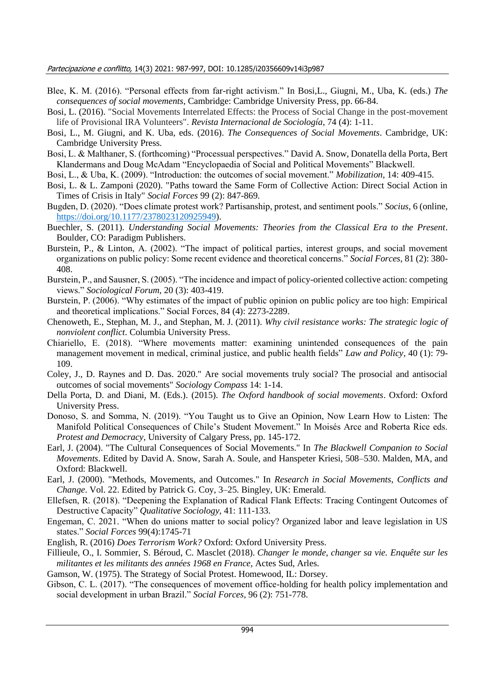- Blee, K. M. (2016). "Personal effects from far-right activism." In Bosi,L., Giugni, M., Uba, K. (eds.) *The consequences of social movements*, Cambridge: Cambridge University Press, pp. 66-84.
- Bosi, L. (2016). "Social Movements Interrelated Effects: the Process of Social Change in the post-movement life of Provisional IRA Volunteers". *Revista Internacional de Sociología*, 74 (4): 1-11.
- Bosi, L., M. Giugni, and K. Uba, eds. (2016). *The Consequences of Social Movements*. Cambridge, UK: Cambridge University Press.
- Bosi, L. & Malthaner, S. (forthcoming) "Processual perspectives." David A. Snow, Donatella della Porta, Bert Klandermans and Doug McAdam "Encyclopaedia of Social and Political Movements" Blackwell.
- Bosi, L., & Uba, K. (2009). "Introduction: the outcomes of social movement." *Mobilization*, 14: 409-415.
- Bosi, L. & L. Zamponi (2020). "Paths toward the Same Form of Collective Action: Direct Social Action in Times of Crisis in Italy" *Social Forces* 99 (2): 847-869.
- Bugden, D. (2020). "Does climate protest work? Partisanship, protest, and sentiment pools." *Socius*, 6 (online, [https://doi.org/10.1177/2378023120925949\)](https://doi.org/10.1177%2F2378023120925949).
- Buechler, S. (2011). *Understanding Social Movements: Theories from the Classical Era to the Present*. Boulder, CO: Paradigm Publishers.
- Burstein, P., & Linton, A. (2002). "The impact of political parties, interest groups, and social movement organizations on public policy: Some recent evidence and theoretical concerns." *Social Forces*, 81 (2): 380- 408.
- Burstein, P., and Sausner, S. (2005). "The incidence and impact of policy-oriented collective action: competing views." *Sociological Forum*, 20 (3): 403-419.
- Burstein, P. (2006). "Why estimates of the impact of public opinion on public policy are too high: Empirical and theoretical implications." Social Forces, 84 (4): 2273-2289.
- Chenoweth, E., Stephan, M. J., and Stephan, M. J. (2011). *Why civil resistance works: The strategic logic of nonviolent conflict*. Columbia University Press.
- Chiariello, E. (2018). "Where movements matter: examining unintended consequences of the pain management movement in medical, criminal justice, and public health fields" *Law and Policy*, 40 (1): 79- 109.
- Coley, J., D. Raynes and D. Das. 2020." Are social movements truly social? The prosocial and antisocial outcomes of social movements" *Sociology Compass* 14: 1-14.
- Della Porta, D. and Diani, M. (Eds.). (2015). *The Oxford handbook of social movements*. Oxford: Oxford University Press.
- Donoso, S. and Somma, N. (2019). "You Taught us to Give an Opinion, Now Learn How to Listen: The Manifold Political Consequences of Chile's Student Movement." In Moisés Arce and Roberta Rice eds. *Protest and Democracy*, University of Calgary Press, pp. 145-172.
- Earl, J. (2004). "The Cultural Consequences of Social Movements." In *The Blackwell Companion to Social Movements*. Edited by David A. Snow, Sarah A. Soule, and Hanspeter Kriesi, 508–530. Malden, MA, and Oxford: Blackwell.
- Earl, J. (2000). "Methods, Movements, and Outcomes." In *Research in Social Movements, Conflicts and Change*. Vol. 22. Edited by Patrick G. Coy, 3–25. Bingley, UK: Emerald.
- Ellefsen, R. (2018). "Deepening the Explanation of Radical Flank Effects: Tracing Contingent Outcomes of Destructive Capacity" *Qualitative Sociology*, 41: 111-133.
- Engeman, C. 2021. "When do unions matter to social policy? Organized labor and leave legislation in US states." *Social Forces* 99(4):1745-71
- English, R. (2016) *Does Terrorism Work?* Oxford: Oxford University Press.
- Fillieule, O., I. Sommier, S. Béroud, C. Masclet (2018). *Changer le monde, changer sa vie. Enquête sur les militantes et les militants des années 1968 en France,* Actes Sud, Arles.
- Gamson, W. (1975). The Strategy of Social Protest. Homewood, IL: Dorsey.
- Gibson, C. L. (2017). "The consequences of movement office-holding for health policy implementation and social development in urban Brazil." *Social Forces,* 96 (2): 751-778.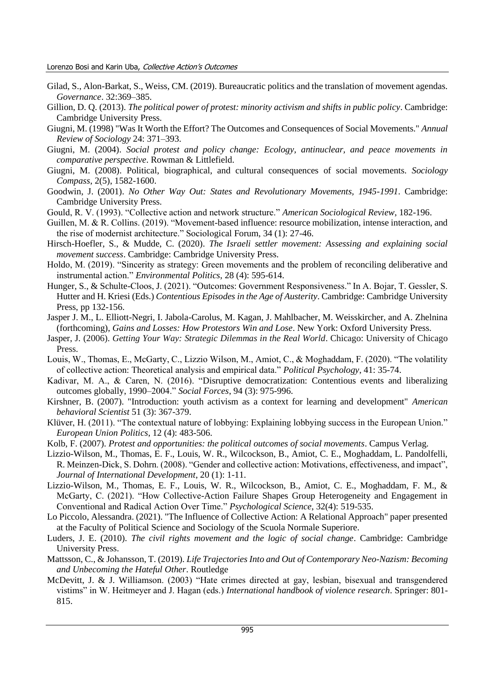- Gilad, S., Alon-Barkat, S., Weiss, CM. (2019). Bureaucratic politics and the translation of movement agendas. *Governance*. 32:369–385.
- Gillion, D. Q. (2013). *The political power of protest: minority activism and shifts in public policy*. Cambridge: Cambridge University Press.
- Giugni, M. (1998) "Was It Worth the Effort? The Outcomes and Consequences of Social Movements." *Annual Review of Sociology* 24: 371–393.
- Giugni, M. (2004). *Social protest and policy change: Ecology, antinuclear, and peace movements in comparative perspective*. Rowman & Littlefield.
- Giugni, M. (2008). Political, biographical, and cultural consequences of social movements. *Sociology Compass*, 2(5), 1582-1600.
- Goodwin, J. (2001). *No Other Way Out: States and Revolutionary Movements, 1945-1991*. Cambridge: Cambridge University Press.
- Gould, R. V. (1993). "Collective action and network structure." *American Sociological Review*, 182-196.
- Guillen, M. & R. Collins. (2019). "Movement-based influence: resource mobilization, intense interaction, and the rise of modernist architecture." Sociological Forum, 34 (1): 27-46.
- Hirsch-Hoefler, S., & Mudde, C. (2020). *The Israeli settler movement: Assessing and explaining social movement success*. Cambridge: Cambridge University Press.
- Holdo, M. (2019). "Sincerity as strategy: Green movements and the problem of reconciling deliberative and instrumental action." *Environmental Politics*, 28 (4): 595-614.
- Hunger, S., & Schulte-Cloos, J. (2021). "Outcomes: Government Responsiveness." In A. Bojar, T. Gessler, S. Hutter and H. Kriesi (Eds.) *Contentious Episodes in the Age of Austerity*. Cambridge: Cambridge University Press, pp 132-156.
- Jasper J. M., L. Elliott-Negri, I. Jabola-Carolus, M. Kagan, J. Mahlbacher, M. Weisskircher, and A. Zhelnina (forthcoming), *Gains and Losses: How Protestors Win and Lose*. New York: Oxford University Press.
- Jasper, J. (2006). *Getting Your Way: Strategic Dilemmas in the Real World*. Chicago: University of Chicago Press.
- Louis, W., Thomas, E., McGarty, C., Lizzio Wilson, M., Amiot, C., & Moghaddam, F. (2020). "The volatility of collective action: Theoretical analysis and empirical data." *Political Psychology*, 41: 35-74.
- Kadivar, M. A., & Caren, N. (2016). "Disruptive democratization: Contentious events and liberalizing outcomes globally, 1990–2004." *Social Forces*, 94 (3): 975-996.
- Kirshner, B. (2007). "Introduction: youth activism as a context for learning and development" *American behavioral Scientist* 51 (3): 367-379.
- Klüver, H. (2011). "The contextual nature of lobbying: Explaining lobbying success in the European Union." *European Union Politics*, 12 (4): 483-506.
- Kolb, F. (2007). *Protest and opportunities: the political outcomes of social movements*. Campus Verlag.
- Lizzio-Wilson, M., Thomas, E. F., Louis, W. R., Wilcockson, B., Amiot, C. E., Moghaddam, L. Pandolfelli, R. Meinzen-Dick, S. Dohrn. (2008). "Gender and collective action: Motivations, effectiveness, and impact", *Journal of International Development*, 20 (1): 1-11.
- Lizzio-Wilson, M., Thomas, E. F., Louis, W. R., Wilcockson, B., Amiot, C. E., Moghaddam, F. M., & McGarty, C. (2021). "How Collective-Action Failure Shapes Group Heterogeneity and Engagement in Conventional and Radical Action Over Time." *Psychological Science*, 32(4): 519-535.
- Lo Piccolo, Alessandra. (2021). "The Influence of Collective Action: A Relational Approach" paper presented at the Faculty of Political Science and Sociology of the Scuola Normale Superiore.
- Luders, J. E. (2010). *The civil rights movement and the logic of social change*. Cambridge: Cambridge University Press.
- Mattsson, C., & Johansson, T. (2019). *Life Trajectories Into and Out of Contemporary Neo-Nazism: Becoming and Unbecoming the Hateful Other*. Routledge
- McDevitt, J. & J. Williamson. (2003) "Hate crimes directed at gay, lesbian, bisexual and transgendered vistims" in W. Heitmeyer and J. Hagan (eds.) *International handbook of violence research*. Springer: 801- 815.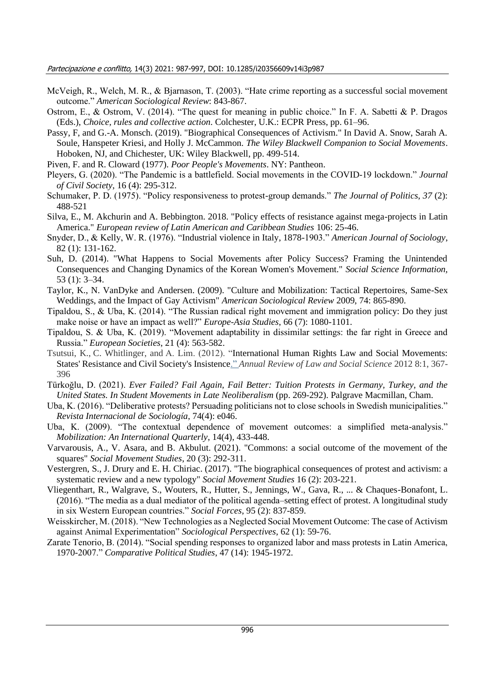- McVeigh, R., Welch, M. R., & Bjarnason, T. (2003). "Hate crime reporting as a successful social movement outcome." *American Sociological Review*: 843-867.
- Ostrom, E., & Ostrom, V. (2014). "The quest for meaning in public choice." In F. A. Sabetti & P. Dragos (Eds.), *Choice, rules and collective action*. Colchester, U.K.: ECPR Press, pp. 61–96.
- Passy, F, and G.-A. Monsch. (2019). "Biographical Consequences of Activism." In David A. Snow, Sarah A. Soule, Hanspeter Kriesi, and Holly J. McCammon. *The Wiley Blackwell Companion to Social Movements*. Hoboken, NJ, and Chichester, UK: Wiley Blackwell, pp. 499-514.
- Piven, F. and R. Cloward (1977). *Poor People's Movements*. NY: Pantheon.
- Pleyers, G. (2020). "The Pandemic is a battlefield. Social movements in the COVID-19 lockdown." *Journal of Civil Society*, 16 (4): 295-312.
- Schumaker, P. D. (1975). "Policy responsiveness to protest-group demands." *The Journal of Politics*, *37* (2): 488-521
- Silva, E., M. Akchurin and A. Bebbington. 2018. "Policy effects of resistance against mega-projects in Latin America." *European review of Latin American and Caribbean Studies* 106: 25-46.
- Snyder, D., & Kelly, W. R. (1976). "Industrial violence in Italy, 1878-1903." *American Journal of Sociology*, 82 (1): 131-162.
- Suh, D. (2014). "What Happens to Social Movements after Policy Success? Framing the Unintended Consequences and Changing Dynamics of the Korean Women's Movement." *Social Science Information,*  53 (1): 3–34.
- Taylor, K., N. VanDyke and Andersen. (2009). "Culture and Mobilization: Tactical Repertoires, Same-Sex Weddings, and the Impact of Gay Activism" *American Sociological Review* 2009, 74: 865-890.
- Tipaldou, S., & Uba, K. (2014). "The Russian radical right movement and immigration policy: Do they just make noise or have an impact as well?" *Europe-Asia Studies*, 66 (7): 1080-1101.
- Tipaldou, S. & Uba, K. (2019). "Movement adaptability in dissimilar settings: the far right in Greece and Russia." *European Societies*, 21 (4): 563-582.
- Tsutsui, K., C. Whitlinger, and A. Lim. (2012). "International Human Rights Law and Social Movements: States' Resistance and Civil Society's Insistence." *Annual Review of Law and Social Science* 2012 8:1, 367- 396
- Türkoğlu, D. (2021). *Ever Failed? Fail Again, Fail Better: Tuition Protests in Germany, Turkey, and the United States. In Student Movements in Late Neoliberalism* (pp. 269-292). Palgrave Macmillan, Cham.
- Uba, K. (2016). "Deliberative protests? Persuading politicians not to close schools in Swedish municipalities." *Revista Internacional de Sociología*, 74(4): e046.
- Uba, K. (2009). "The contextual dependence of movement outcomes: a simplified meta-analysis." *Mobilization: An International Quarterly*, 14(4), 433-448.
- Varvarousis, A., V. Asara, and B. Akbulut. (2021). "Commons: a social outcome of the movement of the squares" *Social Movement Studies*, 20 (3): 292-311.
- Vestergren, S., J. Drury and E. H. Chiriac. (2017). "The biographical consequences of protest and activism: a systematic review and a new typology" *Social Movement Studies* 16 (2): 203-221.
- Vliegenthart, R., Walgrave, S., Wouters, R., Hutter, S., Jennings, W., Gava, R., ... & Chaques-Bonafont, L. (2016). "The media as a dual mediator of the political agenda–setting effect of protest. A longitudinal study in six Western European countries." *Social Forces*, 95 (2): 837-859.
- Weisskircher, M. (2018). "New Technologies as a Neglected Social Movement Outcome: The case of Activism against Animal Experimentation" *Sociological Perspectives*, 62 (1): 59-76.
- Zarate Tenorio, B. (2014). "Social spending responses to organized labor and mass protests in Latin America, 1970-2007." *Comparative Political Studies*, 47 (14): 1945-1972.